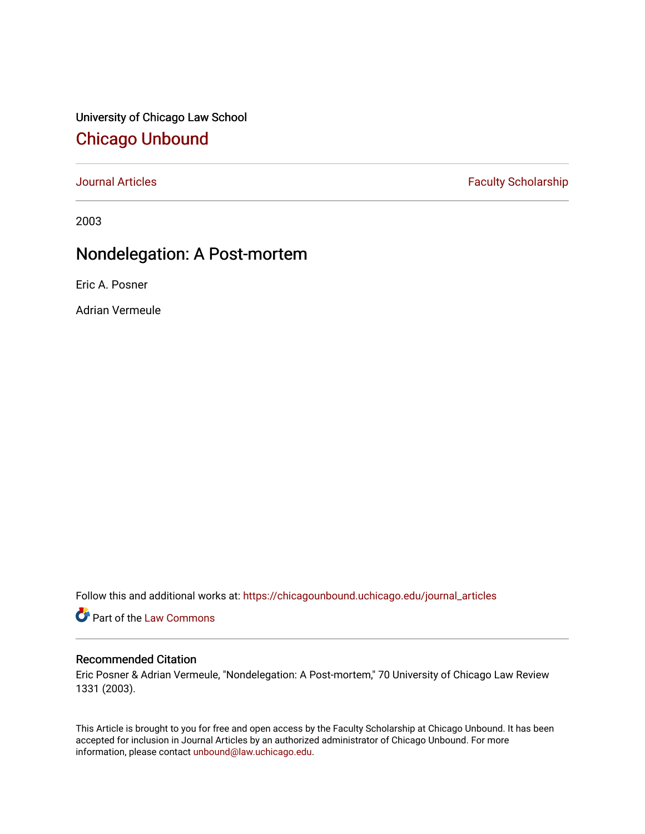University of Chicago Law School [Chicago Unbound](https://chicagounbound.uchicago.edu/)

[Journal Articles](https://chicagounbound.uchicago.edu/journal_articles) **Faculty Scholarship Faculty Scholarship** 

2003

# Nondelegation: A Post-mortem

Eric A. Posner

Adrian Vermeule

Follow this and additional works at: [https://chicagounbound.uchicago.edu/journal\\_articles](https://chicagounbound.uchicago.edu/journal_articles?utm_source=chicagounbound.uchicago.edu%2Fjournal_articles%2F1735&utm_medium=PDF&utm_campaign=PDFCoverPages) 

Part of the [Law Commons](http://network.bepress.com/hgg/discipline/578?utm_source=chicagounbound.uchicago.edu%2Fjournal_articles%2F1735&utm_medium=PDF&utm_campaign=PDFCoverPages)

## Recommended Citation

Eric Posner & Adrian Vermeule, "Nondelegation: A Post-mortem," 70 University of Chicago Law Review 1331 (2003).

This Article is brought to you for free and open access by the Faculty Scholarship at Chicago Unbound. It has been accepted for inclusion in Journal Articles by an authorized administrator of Chicago Unbound. For more information, please contact [unbound@law.uchicago.edu](mailto:unbound@law.uchicago.edu).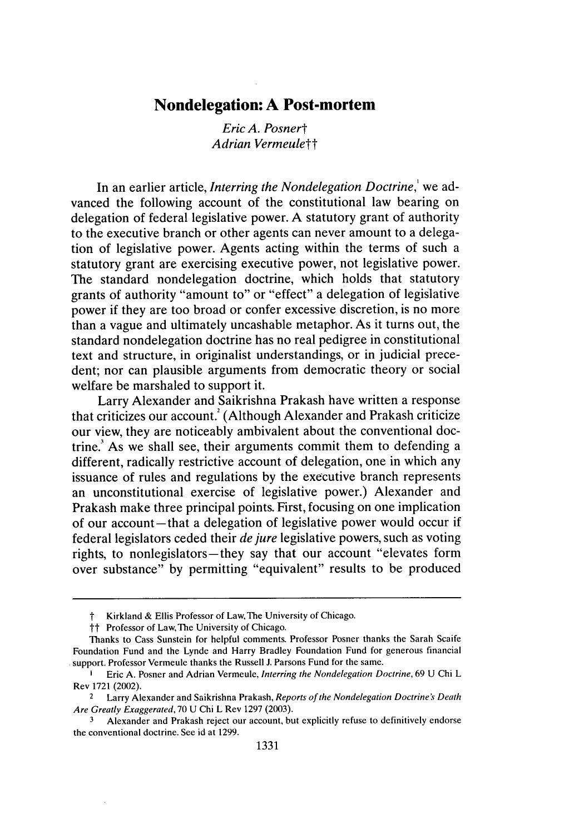# **Nondelegation: A Post-mortem**

*Eric A. Posnert Adrian Vermeulett*

In an earlier article, *Interring the Nondelegation Doctrine,'* we advanced the following account of the constitutional law bearing on delegation of federal legislative power. A statutory grant of authority to the executive branch or other agents can never amount to a delegation of legislative power. Agents acting within the terms of such a statutory grant are exercising executive power, not legislative power. The standard nondelegation doctrine, which holds that statutory grants of authority "amount to" or "effect" a delegation of legislative power if they are too broad or confer excessive discretion, is no more than a vague and ultimately uncashable metaphor. As it turns out, the standard nondelegation doctrine has no real pedigree in constitutional text and structure, in originalist understandings, or in judicial precedent; nor can plausible arguments from democratic theory or social welfare be marshaled to support it.

Larry Alexander and Saikrishna Prakash have written a response that criticizes our account. (Although Alexander and Prakash criticize our view, they are noticeably ambivalent about the conventional doctrine.' As we shall see, their arguments commit them to defending a different, radically restrictive account of delegation, one in which any issuance of rules and regulations by the executive branch represents an unconstitutional exercise of legislative power.) Alexander and Prakash make three principal points. First, focusing on one implication of our account-that a delegation of legislative power would occur if federal legislators ceded their *de jure* legislative powers, such as voting rights, to nonlegislators-they say that our account "elevates form over substance" by permitting "equivalent" results to be produced

*t* Kirkland & Ellis Professor of Law, The University of Chicago.

tt Professor of Law, The University of Chicago.

Thanks to Cass Sunstein for helpful comments. Professor Posner thanks the Sarah Scaife Foundation Fund and the Lynde and Harry Bradley Foundation Fund for generous financial support. Professor Vermeule thanks the Russell J. Parsons Fund for the same.

**I** Eric A. Posner and Adrian Vermeule, Interring the Nondelegation Doctrine, 69 U Chi L Rev 1721 (2002).

<sup>&</sup>lt;sup>2</sup> Larry Alexander and Saikrishna Prakash, Reports of the Nondelegation Doctrine's Death Are Greatly Exaggerated, 70 U Chi L Rev 1297 (2003).

**<sup>3</sup>** Alexander and Prakash reject our account, but explicitly refuse to definitively endorse the conventional doctrine. See id at 1299.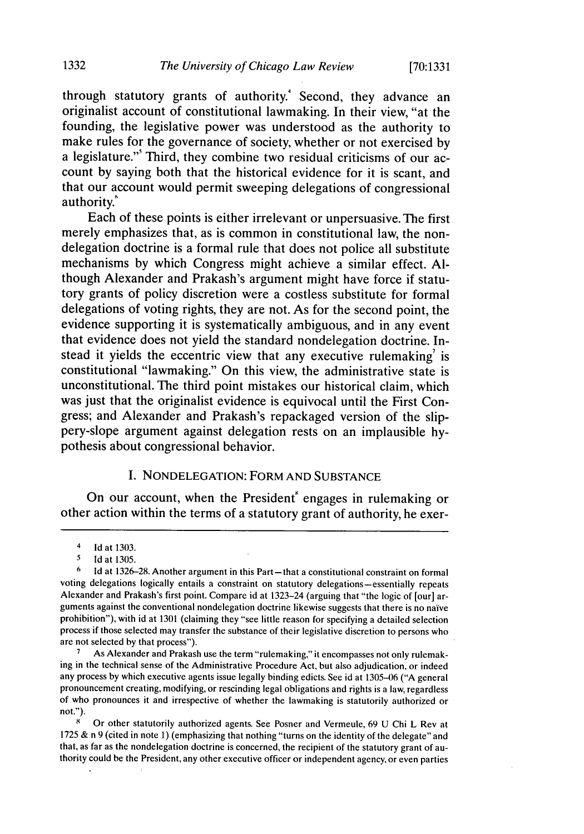through statutory grants of authority.' Second, they advance an originalist account of constitutional lawmaking. In their view, "at the founding, the legislative power was understood as the authority to make rules for the governance of society, whether or not exercised **by** a legislature."' Third, they combine two residual criticisms of our account **by** saying both that the historical evidence for it is scant, and that our account would permit sweeping delegations of congressional authority.'

Each of these points is either irrelevant or unpersuasive. The first merely emphasizes that, as is common in constitutional law, the nondelegation doctrine is a formal rule that does not police all substitute mechanisms **by** which Congress might achieve a similar effect. **Al**though Alexander and Prakash's argument might have force if statutory grants of policy discretion were a costless substitute for formal delegations of voting rights, they are not. As for the second point, the evidence supporting it is systematically ambiguous, and in any event that evidence does not yield the standard nondelegation doctrine. Instead it yields the eccentric view that any executive rulemaking' is constitutional "lawmaking." On this view, the administrative state is unconstitutional. The third point mistakes our historical claim, which was just that the originalist evidence is equivocal until the First Congress; and Alexander and Prakash's repackaged version of the slippery-slope argument against delegation rests on an implausible **hy**pothesis about congressional behavior.

### **I. NONDELEGATION:** FORM **AND SUBSTANCE**

On our account, when the President' engages in rulemaking or other action within the terms of a statutory grant of authority, he exer-

**7** As Alexander and Prakash use the term "rulemaking," it encompasses not only rulemaking in the technical sense of the Administrative Procedure Act, but also adjudication, or indeed any process **by** which executive agents issue legally binding edicts. See id at **1305-4)6 ("A** general pronouncement creating, modifying, or rescinding legal obligations and rights is a law, regardless of who pronounces it and irrespective of whether the lawmaking is statutorily authorized or not.").

**8** Or other statutorily authorized agents. See Posner and Vermeule, **69 U** Chi L Rev at **1725 &** n **9** (cited in note **1)** (emphasizing that nothing "turns on the identity of the delegate" and that, as far as the nondelegation doctrine is concerned, the recipient of the statutory grant of authority could be the President, any other executive officer or independent agency, or even parties

**<sup>4</sup> ld** at **1303.**

**<sup>5</sup> Id** at **1305.**

**<sup>6</sup>ld** at **1326-28.** Another argument in this Part-that a constitutional constraint on formal voting delegations logically entails a constraint on statutory delegations-essentially repeats Alexander and Prakash's first point. Compare id at 1323-24 (arguing that "the logic of [our] arguments against the conventional nondelegation doctrine likewise suggests that there is no naive prohibition"), with id at **1301** (claiming they "see little reason for specifying a detailed selection process if those selected may transfer the substance of their legislative discretion to persons who are not selected **by** that process").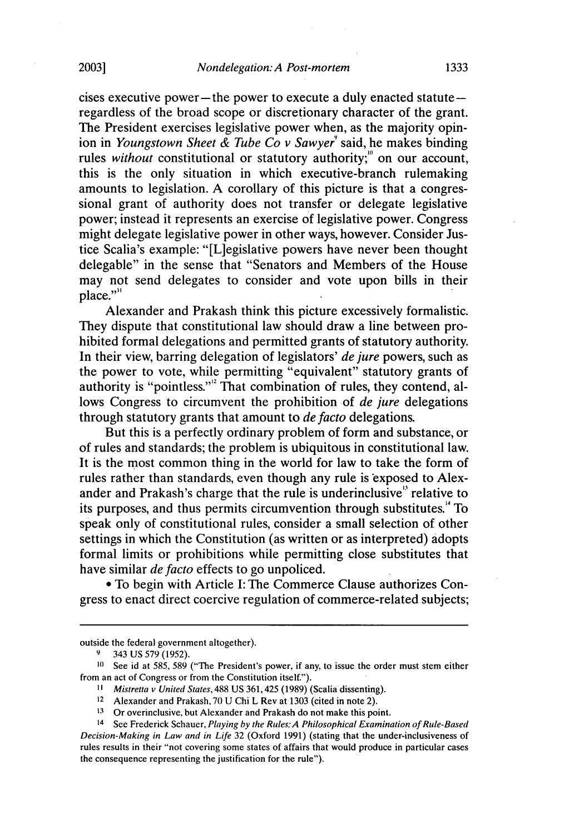cises executive power-the power to execute a duly enacted statuteregardless of the broad scope or discretionary character of the grant. The President exercises legislative power when, as the majority opinion in *Youngstown Sheet & Tube Co v Sawyer'* said, he makes binding rules *without* constitutional or statutory authority;<sup>"</sup> on our account, this is the only situation in which executive-branch rulemaking amounts to legislation. A corollary of this picture is that a congressional grant of authority does not transfer or delegate legislative power; instead it represents an exercise of legislative power. Congress might delegate legislative power in other ways, however. Consider Justice Scalia's example: "[L]egislative powers have never been thought delegable" in the sense that "Senators and Members of the House may not send delegates to consider and vote upon bills in their place.""

Alexander and Prakash think this picture excessively formalistic. They dispute that constitutional law should draw a line between prohibited formal delegations and permitted grants of statutory authority. In their view, barring delegation of legislators' *de jure* powers, such as the power to vote, while permitting "equivalent" statutory grants of authority is "pointless."" That combination of rules, they contend, allows Congress to circumvent the prohibition of *de jure* delegations through statutory grants that amount to *de facto* delegations.

But this is a perfectly ordinary problem of form and substance, or of rules and standards; the problem is ubiquitous in constitutional law. It is the most common thing in the world for law to take the form of rules rather than standards, even though any rule is exposed to Alexander and Prakash's charge that the rule is underinclusive" relative to its purposes, and thus permits circumvention through substitutes.<sup>14</sup> To speak only of constitutional rules, consider a small selection of other settings in which the Constitution (as written or as interpreted) adopts formal limits or prohibitions while permitting close substitutes that have similar *de facto* effects to go unpoliced.

**9** To begin with Article I: The Commerce Clause authorizes Congress to enact direct coercive regulation of commerce-related subjects;

outside the federal government altogether).

**<sup>9</sup>** 343 US 579 (1952).

**<sup>10</sup>** See id at 585, 589 ("The President's power, if any, to issue the order must stem either from an act of Congress or from the Constitution itself.").

<sup>11</sup> Mistretta v United States, 488 US 361, 425 (1989) (Scalia dissenting).

**<sup>12</sup>**Alexander and Prakash, 70 U Chi L Rev at 1303 (cited in note 2).

**<sup>13</sup>**Or overinclusive, but Alexander and Prakash do not make this point.

**<sup>14</sup>**See Frederick Schauer, *Playing by the Rules: A Philosophical Examination of Rule-Based* Decision-Making *in* Law and *in Life* 32 (Oxford 1991) (stating that the under-inclusiveness of rules results in their "not covering some states of affairs that would produce in particular cases the consequence representing the justification for the rule").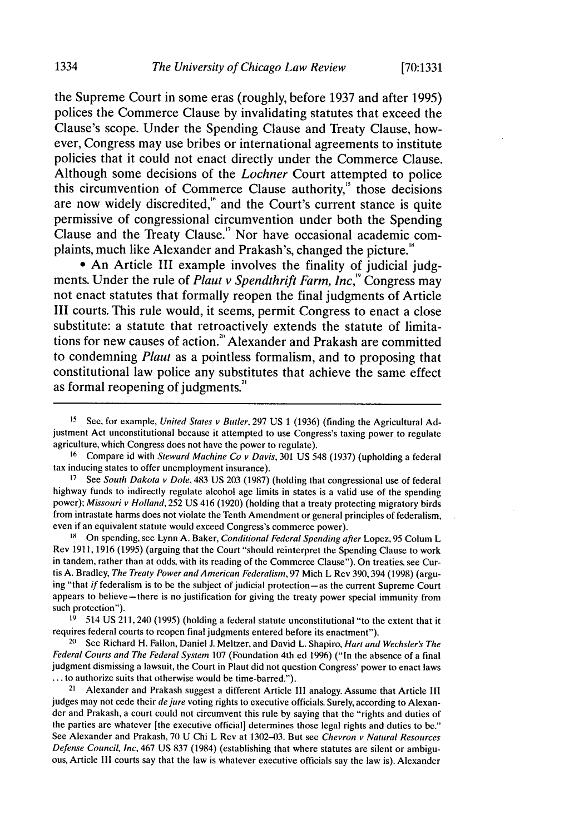the Supreme Court in some eras (roughly, before **1937** and after **1995)** polices the Commerce Clause **by** invalidating statutes that exceed the Clause's scope. Under the Spending Clause and Treaty Clause, however, Congress may use bribes or international agreements to institute policies that it could not enact directly under the Commerce Clause. Although some decisions of the *Lochner* Court attempted to police this circumvention of Commerce Clause authority," those decisions are now widely discredited," and the Court's current stance is quite permissive of congressional circumvention under both the Spending Clause and the Treaty Clause.'7 Nor have occasional academic complaints, much like Alexander and Prakash's, changed the picture.'

**\*** An Article **III** example involves the finality of judicial **judg**ments. Under the rule of *Plaut v Spendthrift Farm, Inc*,<sup>"</sup> Congress may not enact statutes that formally reopen the final judgments of Article **III** courts. This rule would, it seems, permit Congress to enact a close substitute: a statute that retroactively extends the statute of limitations for new causes of action.<sup>20</sup> Alexander and Prakash are committed to condemning *Plaut* as a pointless formalism, and to proposing that constitutional law police any substitutes that achieve the same effect as formal reopening of judgments.<sup>21</sup>

<sup>16</sup> Compare id with Steward Machine Co v Davis, 301 US 548 (1937) (upholding a federal tax inducing states to offer unemployment insurance).

**17** See South Dakota v Dole, 483 US 203 (1987) (holding that congressional use of federal highway funds to indirectly regulate alcohol age limits in states is a valid use of the spending power); Missouri v Holland, 252 US 416 (1920) (holding that a treaty protecting migratory birds from intrastate harms does not violate the Tenth Amendment or general principles of federalism, even if an equivalent statute would exceed Congress's commerce power).

**18** On spending, see Lynn A. Baker, Conditional Federal Spending after Lopez, 95 Colum L Rev 1911, 1916 (1995) (arguing that the Court "should reinterpret the Spending Clause to work in tandem, rather than at odds, with its reading of the Commerce Clause"). On treaties, see Curtis A. Bradley, *The Treaty* Power and American Federalism, 97 Mich L Rev 390,394 (1998) (arguing "that if federalism is to be the subject of judicial protection-as the current Supreme Court appears to believe-there is no justification for giving the treaty power special immunity from such protection").

**19** 514 US 211, 240 (1995) (holding a federal statute unconstitutional "to the extent that it requires federal courts to reopen final judgments entered before its enactment").

2) See Richard H. Fallon, Daniel **J.** Meltzer, and David L. Shapiro, Hart and Wechsler's The Federal Courts and The Federal System 107 (Foundation 4th ed 1996) ("In the absence of a final judgment dismissing a lawsuit, the Court in Plaut did not question Congress' power to enact laws **...** to authorize suits that otherwise would be time-barred.").

<sup>21</sup>Alexander and Prakash suggest a different Article **IlI** analogy. Assume that Article III judges may not cede their de *jure* voting rights to executive officials. Surely, according to Alexander and Prakash, a court could not circumvent this rule by saying that the "rights and duties of the parties are whatever [the executive official] determines those legal rights and duties to be." See Alexander and Prakash, 70 U Chi L Rev at 1302-03. But see Chevron v Natural Resources Defense Council, *Inc,* 467 US 837 (1984) (establishing that where statutes are silent or ambiguous, Article **Ill** courts say that the law is whatever executive officials say the law is). Alexander

**<sup>15</sup>** See, for example, United States v Butler. 297 US **1** (1936) (finding the Agricultural Adjustment Act unconstitutional because it attempted to use Congress's taxing power to regulate agriculture, which Congress does not have the power to regulate).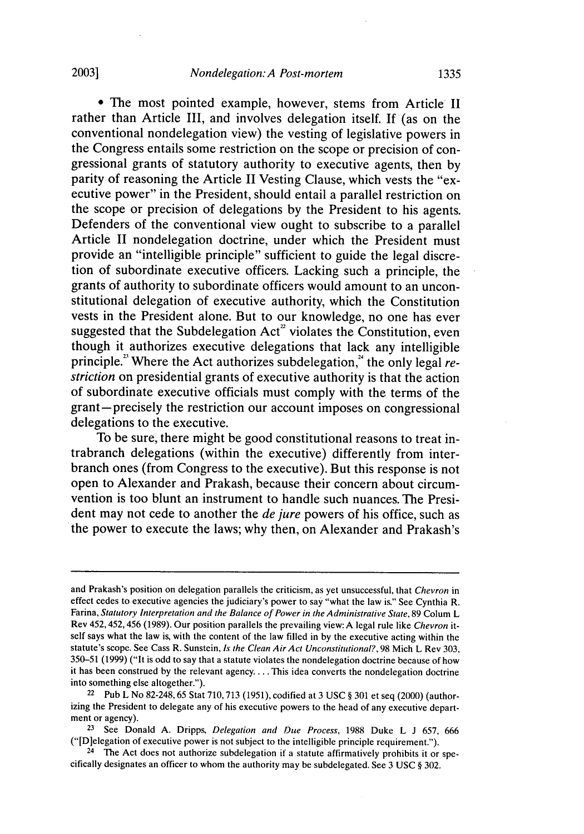\* The most pointed example, however, stems from Article II rather than Article III, and involves delegation itself. If (as on the conventional nondelegation view) the vesting of legislative powers in the Congress entails some restriction on the scope or precision of congressional grants of statutory authority to executive agents, then by parity of reasoning the Article II Vesting Clause, which vests the "executive power" in the President, should entail a parallel restriction on the scope or precision of delegations by the President to his agents. Defenders of the conventional view ought to subscribe to a parallel Article II nondelegation doctrine, under which the President must provide an "intelligible principle" sufficient to guide the legal discretion of subordinate executive officers. Lacking such a principle, the grants of authority to subordinate officers would amount to an unconstitutional delegation of executive authority, which the Constitution vests in the President alone. But to our knowledge, no one has ever suggested that the Subdelegation Act<sup>2</sup> violates the Constitution, even though it authorizes executive delegations that lack any intelligible principle.<sup>2</sup> Where the Act authorizes subdelegation,<sup>24</sup> the only legal *restriction* on presidential grants of executive authority is that the action of subordinate executive officials must comply with the terms of the grant-precisely the restriction our account imposes on congressional delegations to the executive.

To be sure, there might be good constitutional reasons to treat intrabranch delegations (within the executive) differently from interbranch ones (from Congress to the executive). But this response is not open to Alexander and Prakash, because their concern about circumvention is too blunt an instrument to handle such nuances. The President may not cede to another the *de jure* powers of his office, such as the power to execute the laws; why then, on Alexander and Prakash's

and Prakash's position on delegation parallels the criticism, as yet unsuccessful, that Chevron in effect cedes to executive agencies the judiciary's power to say "what the law is." See Cynthia R. Farina, *Statutory Interpretation and the Balance of Power in the Administrative State*, 89 Colum L Rev 452,452,456 (1989). Our position parallels the prevailing view: A legal rule like *Chevron* itself says what the law is, with the content of the law filled in by the executive acting within the statute's scope. See Cass R. Sunstein, *Is the Clean Air Act Unconstitutional?,* 98 Mich L Rev 303, 350-51 (1999) ("It is odd to say that a statute violates the nondelegation doctrine because of how it has been construed by the relevant agency.... This idea converts the nondelegation doctrine into something else altogether.").

<sup>22</sup> Pub L No 82-248,65 Stat 710,713 (1951), codified at 3 USC § 301 et seq (2000) (authorizing the President to delegate any of his executive powers to the head of any executive department or agency).

**<sup>23</sup>**See Donald A. Dripps, *Delegation and Due Process,* 1988 Duke L J 657, 666 ("[D]elegation of executive power is not subject to the intelligible principle requirement.").

<sup>&</sup>lt;sup>24</sup> The Act does not authorize subdelegation if a statute affirmatively prohibits it or specifically designates an officer to whom the authority may be subdelegated. See 3 USC § 302.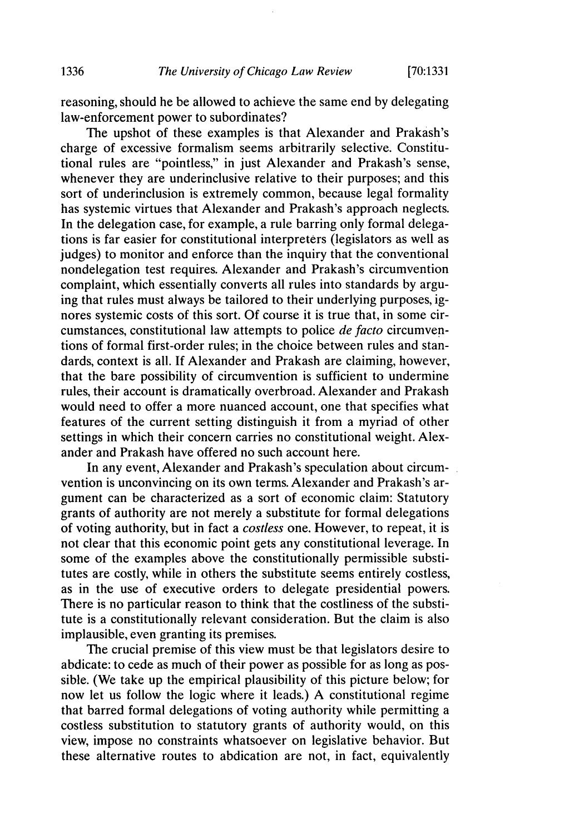reasoning, should he be allowed to achieve the same end by delegating law-enforcement power to subordinates?

The upshot of these examples is that Alexander and Prakash's charge of excessive formalism seems arbitrarily selective. Constitutional rules are "pointless," in just Alexander and Prakash's sense, whenever they are underinclusive relative to their purposes; and this sort of underinclusion is extremely common, because legal formality has systemic virtues that Alexander and Prakash's approach neglects. In the delegation case, for example, a rule barring only formal delegations is far easier for constitutional interpreters (legislators as well as judges) to monitor and enforce than the inquiry that the conventional nondelegation test requires. Alexander and Prakash's circumvention complaint, which essentially converts all rules into standards by arguing that rules must always be tailored to their underlying purposes, ignores systemic costs of this sort. Of course it is true that, in some circumstances, constitutional law attempts to police *de facto* circumventions of formal first-order rules; in the choice between rules and standards, context is all. If Alexander and Prakash are claiming, however, that the bare possibility of circumvention is sufficient to undermine rules, their account is dramatically overbroad. Alexander and Prakash would need to offer a more nuanced account, one that specifies what features of the current setting distinguish it from a myriad of other settings in which their concern carries no constitutional weight. Alexander and Prakash have offered no such account here.

In any event, Alexander and Prakash's speculation about circumvention is unconvincing on its own terms. Alexander and Prakash's argument can be characterized as a sort of economic claim: Statutory grants of authority are not merely a substitute for formal delegations of voting authority, but in fact a *costless* one. However, to repeat, it is not clear that this economic point gets any constitutional leverage. In some of the examples above the constitutionally permissible substitutes are costly, while in others the substitute seems entirely costless, as in the use of executive orders to delegate presidential powers. There is no particular reason to think that the costliness of the substitute is a constitutionally relevant consideration. But the claim is also implausible, even granting its premises.

The crucial premise of this view must be that legislators desire to abdicate: to cede as much of their power as possible for as long as possible. (We take up the empirical plausibility of this picture below; for now let us follow the logic where it leads.) A constitutional regime that barred formal delegations of voting authority while permitting a costless substitution to statutory grants of authority would, on this view, impose no constraints whatsoever on legislative behavior. But these alternative routes to abdication are not, in fact, equivalently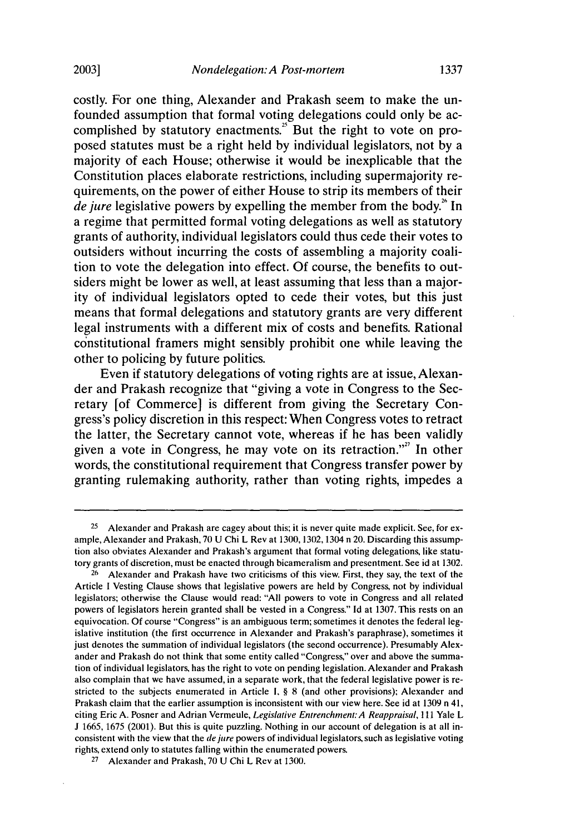costly. For one thing, Alexander and Prakash seem to make the unfounded assumption that formal voting delegations could only be accomplished by statutory enactments.<sup>25</sup> But the right to vote on proposed statutes must be a right held **by** individual legislators, not **by** a majority of each House; otherwise it would be inexplicable that the Constitution places elaborate restrictions, including supermajority requirements, on the power of either House to strip its members of their *de jure* legislative powers **by** expelling the member from the body. " In a regime that permitted formal voting delegations as well as statutory grants of authority, individual legislators could thus cede their votes to outsiders without incurring the costs of assembling a majority coalition to vote the delegation into effect. **Of** course, the benefits to outsiders might be lower as well, at least assuming that less than a majority of individual legislators opted to cede their votes, but this just means that formal delegations and statutory grants are very different legal instruments with a different mix of costs and benefits. Rational constitutional framers might sensibly prohibit one while leaving the other to policing **by** future politics.

Even if statutory delegations of voting rights are at issue, Alexander and Prakash recognize that "giving a vote in Congress to the Secretary [of Commerce] is different from giving the Secretary Congress's policy discretion in this respect: When Congress votes to retract the latter, the Secretary cannot vote, whereas if he has been validly given a vote in Congress, he may vote on its retraction."<sup>27</sup> In other words, the constitutional requirement that Congress transfer power **by** granting rulemaking authority, rather than voting rights, impedes a

**<sup>25</sup>** Alexander and Prakash are cagey about this; it is never quite made explicit. See, for example, Alexander and Prakash, **70 U** Chi L Rev at 1300, 1302, 1304 n 20. Discarding this assumption also obviates Alexander and Prakash's argument that formal voting delegations, like statutory grants of discretion, must **be** enacted through bicameralism and presentment. See id at **1302.**

<sup>&</sup>lt;sup>26</sup> Alexander and Prakash have two criticisms of this view. First, they say, the text of the Article **I** Vesting Clause shows that legislative powers are held **by** Congress, not **by** individual legislators; otherwise the Clause would read: **"All** powers to vote in Congress and all related powers of legislators herein granted shall be vested in a Congress." **Id** at **1307.** This rests on an equivocation. **Of** course "Congress" is an ambiguous term; sometimes it denotes the federal legislative institution (the first occurrence in Alexander and Prakash's paraphrase), sometimes it just denotes the summation of individual legislators (the second occurrence). Presumably Alexander and Prakash do not think that some entity called "Congress," over and above the summation of individual legislators, has the right to vote on pending legislation. Alexander and Prakash also complain that we have assumed, in a separate work, that the federal legislative power is restricted to the subjects enumerated in Article **I, § 8** (and other provisions); Alexander and Prakash claim that the earlier assumption is inconsistent with our view here. See id at **1309** n 41, citing Eric **A.** Posner and Adrian Vermeule, Legislative Entrenchment:A Reappraisal, **111** Yale L **J 1665, 1675** (2001). But this is quite puzzling. Nothing in our account of delegation is at all inconsistent with the view that the *de jure* powers of individual legislators, such as legislative voting rights, extend only to statutes falling within the enumerated powers.

**<sup>27</sup>** Alexander and Prakash, **70 U** Chi L Rev at **1300.**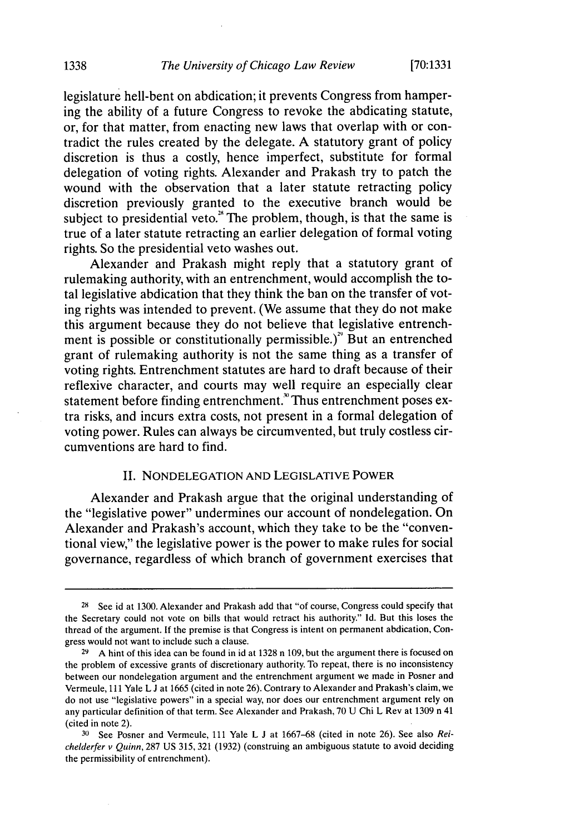legislature hell-bent on abdication; it prevents Congress from hampering the ability of a future Congress to revoke the abdicating statute, or, for that matter, from enacting new laws that overlap with or contradict the rules created by the delegate. A statutory grant of policy discretion is thus a costly, hence imperfect, substitute for formal delegation of voting rights. Alexander and Prakash try to patch the wound with the observation that a later statute retracting policy discretion previously granted to the executive branch would be subject to presidential veto.<sup>"</sup> The problem, though, is that the same is true of a later statute retracting an earlier delegation of formal voting rights. So the presidential veto washes out.

Alexander and Prakash might reply that a statutory grant of rulemaking authority, with an entrenchment, would accomplish the total legislative abdication that they think the ban on the transfer of voting rights was intended to prevent. (We assume that they do not make this argument because they do not believe that legislative entrenchment is possible or constitutionally permissible.)<sup> $\overline{P}$ </sup> But an entrenched grant of rulemaking authority is not the same thing as a transfer of voting rights. Entrenchment statutes are hard to draft because of their reflexive character, and courts may well require an especially clear statement before finding entrenchment." Thus entrenchment poses extra risks, and incurs extra costs, not present in a formal delegation of voting power. Rules can always be circumvented, but truly costless circumventions are hard to find.

### II. NONDELEGATION AND LEGISLATIVE POWER

Alexander and Prakash argue that the original understanding of the "legislative power" undermines our account of nondelegation. On Alexander and Prakash's account, which they take to be the "conventional view," the legislative power is the power to make rules for social governance, regardless of which branch of government exercises that

<sup>&</sup>lt;sup>28</sup> See id at 1300. Alexander and Prakash add that "of course, Congress could specify that the Secretary could not vote on bills that would retract his authority." **Id.** But this loses the thread of the argument. If the premise is that Congress is intent on permanent abdication, Congress would not want to include such a clause.

**<sup>29</sup>**A hint of this idea can be found in id at 1328 n 109, but the argument there is focused on the problem of excessive grants of discretionary authority. To repeat, there is no inconsistency between our nondelegation argument and the entrenchment argument we made in Posner and Vermeule, 111 Yale L **J** at 1665 (cited in note 26). Contrary to Alexander and Prakash's claim, we do not use "legislative powers" in a special way, nor does our entrenchment argument rely on any particular definition of that term. See Alexander and Prakash, 70 U Chi L Rev at 1309 n 41 (cited in note 2).

**<sup>30</sup>** See Posner and Vermeule, 111 Yale L J at 1667-68 (cited in note 26). See also Reichelderfer v Quinn, 287 US 315, 321 (1932) (construing an ambiguous statute to avoid deciding the permissibility of entrenchment).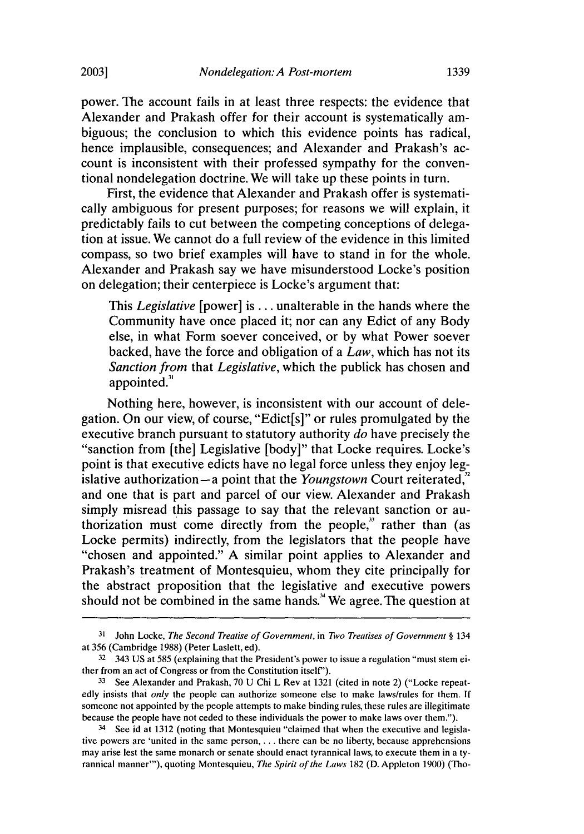power. The account fails in at least three respects: the evidence that Alexander and Prakash offer for their account is systematically ambiguous; the conclusion to which this evidence points has radical, hence implausible, consequences; and Alexander and Prakash's account is inconsistent with their professed sympathy for the conventional nondelegation doctrine. We will take up these points in turn.

First, the evidence that Alexander and Prakash offer is systematically ambiguous for present purposes; for reasons we will explain, it predictably fails to cut between the competing conceptions of delegation at issue. We cannot do a full review of the evidence in this limited compass, so two brief examples will have to stand in for the whole. Alexander and Prakash say we have misunderstood Locke's position on delegation; their centerpiece is Locke's argument that:

This *Legislative* [power] is ... unalterable in the hands where the Community have once placed it; nor can any Edict of any Body else, in what Form soever conceived, or by what Power soever backed, have the force and obligation of a *Law,* which has not its *Sanction from* that *Legislative,* which the publick has chosen and appointed."

Nothing here, however, is inconsistent with our account of delegation. On our view, of course, "Edict[s]" or rules promulgated by the executive branch pursuant to statutory authority *do* have precisely the "sanction from [the] Legislative [body]" that Locke requires. Locke's point is that executive edicts have no legal force unless they enjoy legislative authorization-a point that the *Youngstown* Court reiterated, $\overline{a}$ and one that is part and parcel of our view. Alexander and Prakash simply misread this passage to say that the relevant sanction or authorization must come directly from the people, $\frac{1}{n}$  rather than (as Locke permits) indirectly, from the legislators that the people have "chosen and appointed." A similar point applies to Alexander and Prakash's treatment of Montesquieu, whom they cite principally for the abstract proposition that the legislative and executive powers should not be combined in the same hands." We agree. The question at

<sup>&</sup>lt;sup>31</sup> John Locke, *The Second Treatise of Government*, in *Two Treatises of Government* § 134 at 356 (Cambridge 1988) (Peter Laslett, ed).

<sup>32</sup> 343 US at 585 (explaining that the President's power to issue a regulation "must stem either from an act of Congress or from the Constitution itself").

<sup>33</sup> See Alexander and Prakash, 70 U Chi L Rev at 1321 (cited in note 2) ("Locke repeatedly insists that *only* the people can authorize someone else to make laws/rules for them. If someone not appointed by the people attempts to make binding rules, these rules are illegitimate because the people have not ceded to these individuals the power to make laws over them.").

<sup>34</sup> See id at 1312 (noting that Montesquieu "claimed that when the executive and legislative powers are 'united in the same person,... there can be no liberty, because apprehensions may arise lest the same monarch or senate should enact tyrannical laws, to execute them in a tyrannical manner""), quoting Montesquieu, *The Spirit of the Laws* 182 (D. Appleton 1900) (Tho-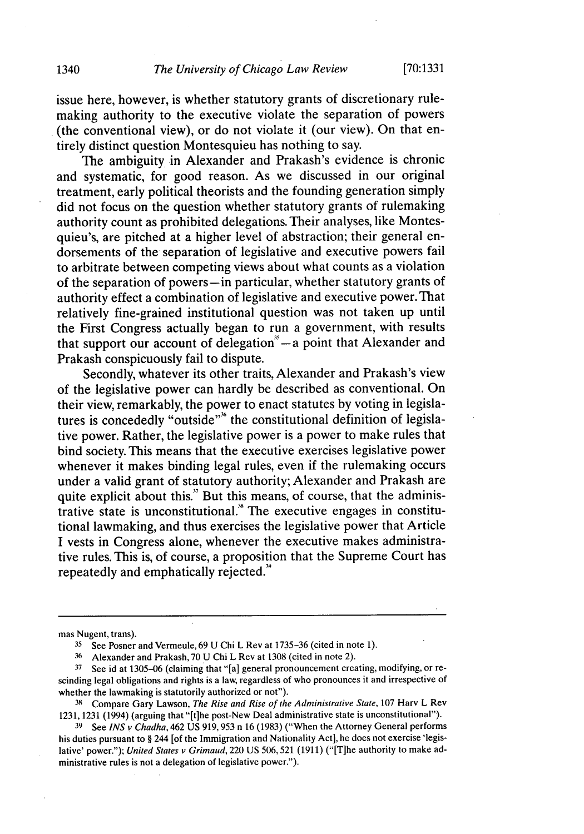issue here, however, is whether statutory grants of discretionary rulemaking authority to the executive violate the separation of powers (the conventional view), or do not violate it (our view). On that entirely distinct question Montesquieu has nothing to say.

The ambiguity in Alexander and Prakash's evidence is chronic and systematic, for good reason. As we discussed in our original treatment, early political theorists and the founding generation simply did not focus on the question whether statutory grants of rulemaking authority count as prohibited delegations. Their analyses, like Montesquieu's, are pitched at a higher level of abstraction; their general endorsements of the separation of legislative and executive powers fail to arbitrate between competing views about what counts as a violation of the separation of powers-in particular, whether statutory grants of authority effect a combination of legislative and executive power. That relatively fine-grained institutional question was not taken up until the First Congress actually began to run a government, with results that support our account of delegation" -a point that Alexander and Prakash conspicuously fail to dispute.

Secondly, whatever its other traits, Alexander and Prakash's view of the legislative power can hardly be described as conventional. On their view, remarkably, the power to enact statutes by voting in legislatures is concededly "outside"<sup>36</sup> the constitutional definition of legislative power. Rather, the legislative power is a power to make rules that bind society. This means that the executive exercises legislative power whenever it makes binding legal rules, even if the rulemaking occurs under a valid grant of statutory authority; Alexander and Prakash are quite explicit about this." But this means, of course, that the administrative state is unconstitutional. $^*$  The executive engages in constitutional lawmaking, and thus exercises the legislative power that Article I vests in Congress alone, whenever the executive makes administrative rules. This is, of course, a proposition that the Supreme Court has repeatedly and emphatically rejected.<sup>"</sup>

<sup>38</sup>Compare Gary Lawson, *The Rise and Rise of the Administrative State,* 107 Harv L Rev 1231, 1231 (1994) (arguing that "[tihe post-New Deal administrative state is unconstitutional").

mas Nugent, trans).

<sup>35</sup> See Posner and Vermeule, 69 U Chi L Rev at 1735-36 (cited in note 1).

<sup>36</sup> Alexander and Prakash, 70 U Chi L Rev at 1308 (cited in note 2).

<sup>37</sup> See id at 1305-06 (claiming that "[a] general pronouncement creating, modifying, or rescinding legal obligations and rights is a law, regardless of who pronounces it and irrespective of whether the lawmaking is statutorily authorized or not").

<sup>&</sup>lt;sup>39</sup> See *INS v Chadha*, 462 US 919, 953 n 16 (1983) ("When the Attorney General performs his duties pursuant to § 244 [of the Immigration and Nationality Act], he does not exercise 'legislative' power."); *United States v Grimaud,* 220 US 506,521 (1911) ("[Tjhe authority to make administrative rules is not a delegation of legislative power.").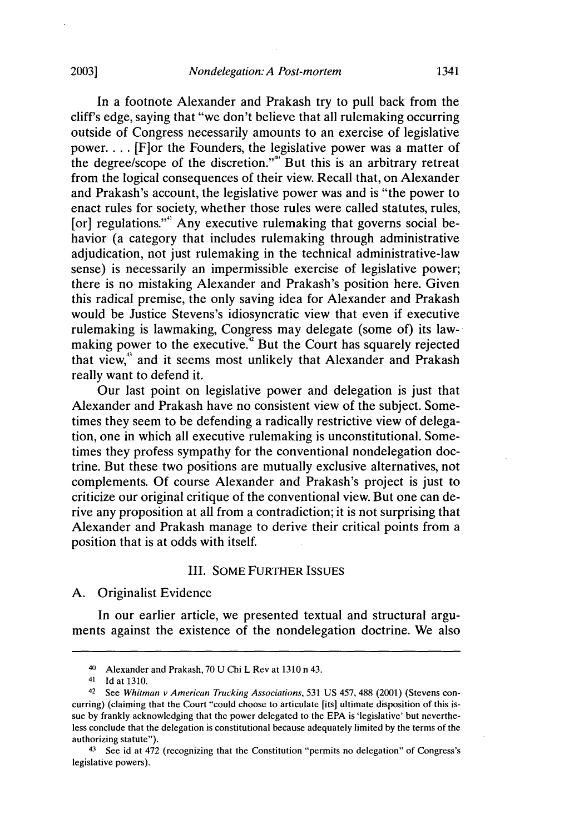In a footnote Alexander and Prakash try to pull back from the cliff's edge, saying that "we don't believe that all rulemaking occurring outside of Congress necessarily amounts to an exercise of legislative power **....** [F]or the Founders, the legislative power was a matter of the degree/scope of the discretion." **'** But this is an arbitrary retreat from the logical consequences of their view. Recall that, on Alexander and Prakash's account, the legislative power was and is "the power to enact rules for society, whether those rules were called statutes, rules, [or] regulations."<sup>4</sup> Any executive rulemaking that governs social behavior (a category that includes rulemaking through administrative adjudication, not just rulemaking in the technical administrative-law sense) is necessarily an impermissible exercise of legislative power; there is no mistaking Alexander and Prakash's position here. Given this radical premise, the only saving idea for Alexander and Prakash would be Justice Stevens's idiosyncratic view that even if executive rulemaking is lawmaking, Congress may delegate (some of) its lawmaking power to the executive." But the Court has squarely rejected that view," and it seems most unlikely that Alexander and Prakash really want to defend it.

Our last point on legislative power and delegation is just that Alexander and Prakash have no consistent view of the subject. Sometimes they seem to be defending a radically restrictive view of delegation, one in which all executive rulemaking is unconstitutional. Sometimes they profess sympathy for the conventional nondelegation doctrine. But these two positions are mutually exclusive alternatives, not complements. Of course Alexander and Prakash's project is just to criticize our original critique of the conventional view. But one can derive any proposition at all from a contradiction; it is not surprising that Alexander and Prakash manage to derive their critical points from a position that is at odds with itself.

#### III. SOME FURTHER ISSUES

#### A. Originalist Evidence

In our earlier article, we presented textual and structural arguments against the existence of the nondelegation doctrine. We also

<sup>4)</sup> Alexander and Prakash, 70 U Chi L Rev at 1310 n 43.

<sup>41</sup> Id at 1310.

<sup>42</sup> See Whitman v American Trucking *Associations,* 531 US 457, 488 (2001) (Stevens concurring) (claiming that the Court "could choose to articulate [its] ultimate disposition of this issue by frankly acknowledging that the power delegated to the EPA is 'legislative' but nevertheless conclude that the delegation is constitutional because adequately limited by the terms of the authorizing statute").

<sup>&</sup>lt;sup>43</sup> See id at 472 (recognizing that the Constitution "permits no delegation" of Congress's legislative powers).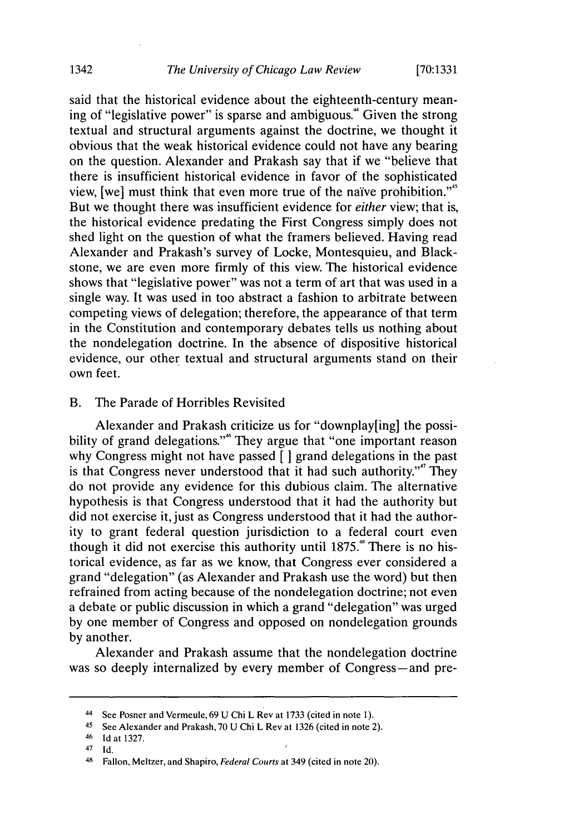said that the historical evidence about the eighteenth-century meaning of "legislative power" is sparse and ambiguous." Given the strong textual and structural arguments against the doctrine, we thought it obvious that the weak historical evidence could not have any bearing on the question. Alexander and Prakash say that if we "believe that there is insufficient historical evidence in favor of the sophisticated view, [we] must think that even more true of the naïve prohibition."<sup>44</sup> But we thought there was insufficient evidence for *either* view; that is, the historical evidence predating the First Congress simply does not shed light on the question of what the framers believed. Having read Alexander and Prakash's survey of Locke, Montesquieu, and Blackstone, we are even more firmly of this view. The historical evidence shows that "legislative power" was not a term of art that was used in a single way. It was used in too abstract a fashion to arbitrate between competing views of delegation; therefore, the appearance of that term in the Constitution and contemporary debates tells us nothing about the nondelegation doctrine. In the absence of dispositive historical evidence, our other textual and structural arguments stand on their own feet.

### B. The Parade of Horribles Revisited

Alexander and Prakash criticize us for "downplay[ing] the possibility of grand delegations."<sup>\*</sup> They argue that "one important reason why Congress might not have passed [ **]** grand delegations in the past is that Congress never understood that it had such authority."<sup> $\eta$ </sup> They do not provide any evidence for this dubious claim. The alternative hypothesis is that Congress understood that it had the authority but did not exercise it, just as Congress understood that it had the authority to grant federal question jurisdiction to a federal court even though it did not exercise this authority until 1875.<sup>\*</sup> There is no historical evidence, as far as we know, that Congress ever considered a grand "delegation" (as Alexander and Prakash use the word) but then refrained from acting because of the nondelegation doctrine; not even a debate or public discussion in which a grand "delegation" was urged by one member of Congress and opposed on nondelegation grounds by another.

Alexander and Prakash assume that the nondelegation doctrine was so deeply internalized by every member of Congress-and pre-

<sup>44</sup> See Posner and Vermeule, **69 U** Chi L Rev at **1733** (cited in note **1).**

<sup>45</sup>See Alexander and Prakash, **70 U** Chi L Rev at **1326** (cited in note 2).

<sup>46</sup>**Id** at **1327.**

<sup>47</sup> **Id.**

<sup>&</sup>lt;sup>48</sup> Fallon, Meltzer, and Shapiro, *Federal Courts* at 349 (cited in note 20).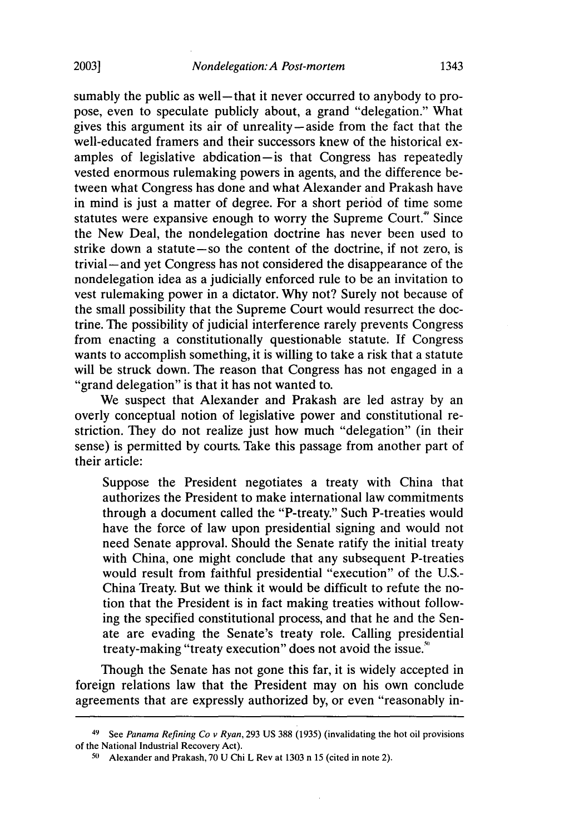sumably the public as well—that it never occurred to anybody to propose, even to speculate publicly about, a grand "delegation." What gives this argument its air of unreality-aside from the fact that the well-educated framers and their successors knew of the historical examples of legislative abdication-is that Congress has repeatedly vested enormous rulemaking powers in agents, and the difference between what Congress has done and what Alexander and Prakash have in mind is just a matter of degree. For a short period of time some statutes were expansive enough to worry the Supreme Court.<sup>\*</sup> Since the New Deal, the nondelegation doctrine has never been used to strike down a statute-so the content of the doctrine, if not zero, is trivial-and yet Congress has not considered the disappearance of the nondelegation idea as a judicially enforced rule to be an invitation to vest rulemaking power in a dictator. Why not? Surely not because of the small possibility that the Supreme Court would resurrect the doctrine. The possibility of judicial interference rarely prevents Congress from enacting a constitutionally questionable statute. If Congress wants to accomplish something, it is willing to take a risk that a statute will be struck down. The reason that Congress has not engaged in a "grand delegation" is that it has not wanted to.

We suspect that Alexander and Prakash are led astray by an overly conceptual notion of legislative power and constitutional restriction. They do not realize just how much "delegation" (in their sense) is permitted by courts. Take this passage from another part of their article:

Suppose the President negotiates a treaty with China that authorizes the President to make international law commitments through a document called the "P-treaty." Such P-treaties would have the force of law upon presidential signing and would not need Senate approval. Should the Senate ratify the initial treaty with China, one might conclude that any subsequent P-treaties would result from faithful presidential "execution" of the U.S.- China Treaty. But we think it would be difficult to refute the notion that the President is in fact making treaties without following the specified constitutional process, and that he and the Senate are evading the Senate's treaty role. Calling presidential treaty-making "treaty execution" does not avoid the issue.

Though the Senate has not gone this far, it is widely accepted in foreign relations law that the President may on his own conclude agreements that are expressly authorized by, or even "reasonably in-

<sup>49</sup> See *Panama Refining Co v Ryan,* 293 US 388 (1935) (invalidating the hot oil provisions of the National Industrial Recovery Act).

**<sup>50</sup>**Alexander and Prakash, 70 U Chi L Rev at 1303 n 15 (cited in note 2).